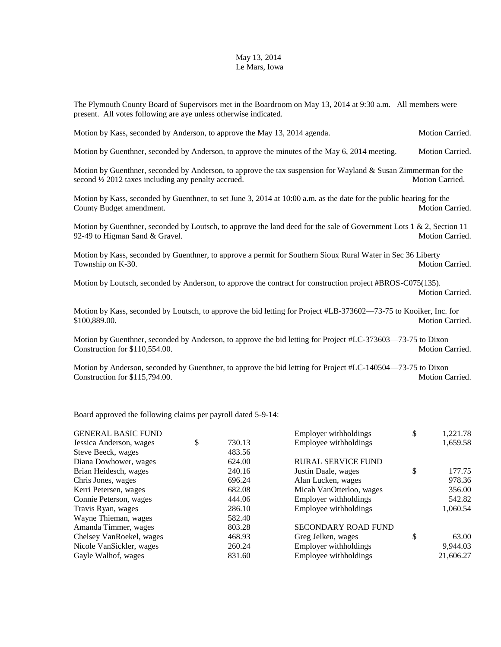## May 13, 2014 Le Mars, Iowa

The Plymouth County Board of Supervisors met in the Boardroom on May 13, 2014 at 9:30 a.m. All members were present. All votes following are aye unless otherwise indicated.

Motion by Kass, seconded by Anderson, to approve the May 13, 2014 agenda. Motion Carried.

Motion by Guenthner, seconded by Anderson, to approve the minutes of the May 6, 2014 meeting. Motion Carried.

Motion by Guenthner, seconded by Anderson, to approve the tax suspension for Wayland & Susan Zimmerman for the second  $\frac{1}{2}$  2012 taxes including any penalty accrued. Motion Carried. Motion Carried.

Motion by Kass, seconded by Guenthner, to set June 3, 2014 at 10:00 a.m. as the date for the public hearing for the County Budget amendment. Motion Carried.

Motion by Guenthner, seconded by Loutsch, to approve the land deed for the sale of Government Lots  $1 \& 2$ , Section 11 92-49 to Higman Sand & Gravel. The Sand School Carried. Motion Carried.

Motion by Kass, seconded by Guenthner, to approve a permit for Southern Sioux Rural Water in Sec 36 Liberty Township on K-30. Motion Carried.

Motion by Loutsch, seconded by Anderson, to approve the contract for construction project #BROS-C075(135). Motion Carried.

Motion by Kass, seconded by Loutsch, to approve the bid letting for Project #LB-373602—73-75 to Kooiker, Inc. for \$100,889.00. Motion Carried.

Motion by Guenthner, seconded by Anderson, to approve the bid letting for Project #LC-373603—73-75 to Dixon Construction for \$110,554.00. Motion Carried. Motion Carried.

Motion by Anderson, seconded by Guenthner, to approve the bid letting for Project #LC-140504—73-75 to Dixon Construction for \$115,794.00. Motion Carried.

Board approved the following claims per payroll dated 5-9-14:

| <b>GENERAL BASIC FUND</b> |              | Employer withholdings      | \$<br>1,221.78 |
|---------------------------|--------------|----------------------------|----------------|
| Jessica Anderson, wages   | \$<br>730.13 | Employee withholdings      | 1,659.58       |
| Steve Beeck, wages        | 483.56       |                            |                |
| Diana Dowhower, wages     | 624.00       | <b>RURAL SERVICE FUND</b>  |                |
| Brian Heidesch, wages     | 240.16       | Justin Daale, wages        | \$<br>177.75   |
| Chris Jones, wages        | 696.24       | Alan Lucken, wages         | 978.36         |
| Kerri Petersen, wages     | 682.08       | Micah VanOtterloo, wages   | 356.00         |
| Connie Peterson, wages    | 444.06       | Employer withholdings      | 542.82         |
| Travis Ryan, wages        | 286.10       | Employee withholdings      | 1,060.54       |
| Wayne Thieman, wages      | 582.40       |                            |                |
| Amanda Timmer, wages      | 803.28       | <b>SECONDARY ROAD FUND</b> |                |
| Chelsey VanRoekel, wages  | 468.93       | Greg Jelken, wages         | \$<br>63.00    |
| Nicole VanSickler, wages  | 260.24       | Employer withholdings      | 9,944.03       |
| Gayle Walhof, wages       | 831.60       | Employee withholdings      | 21,606.27      |